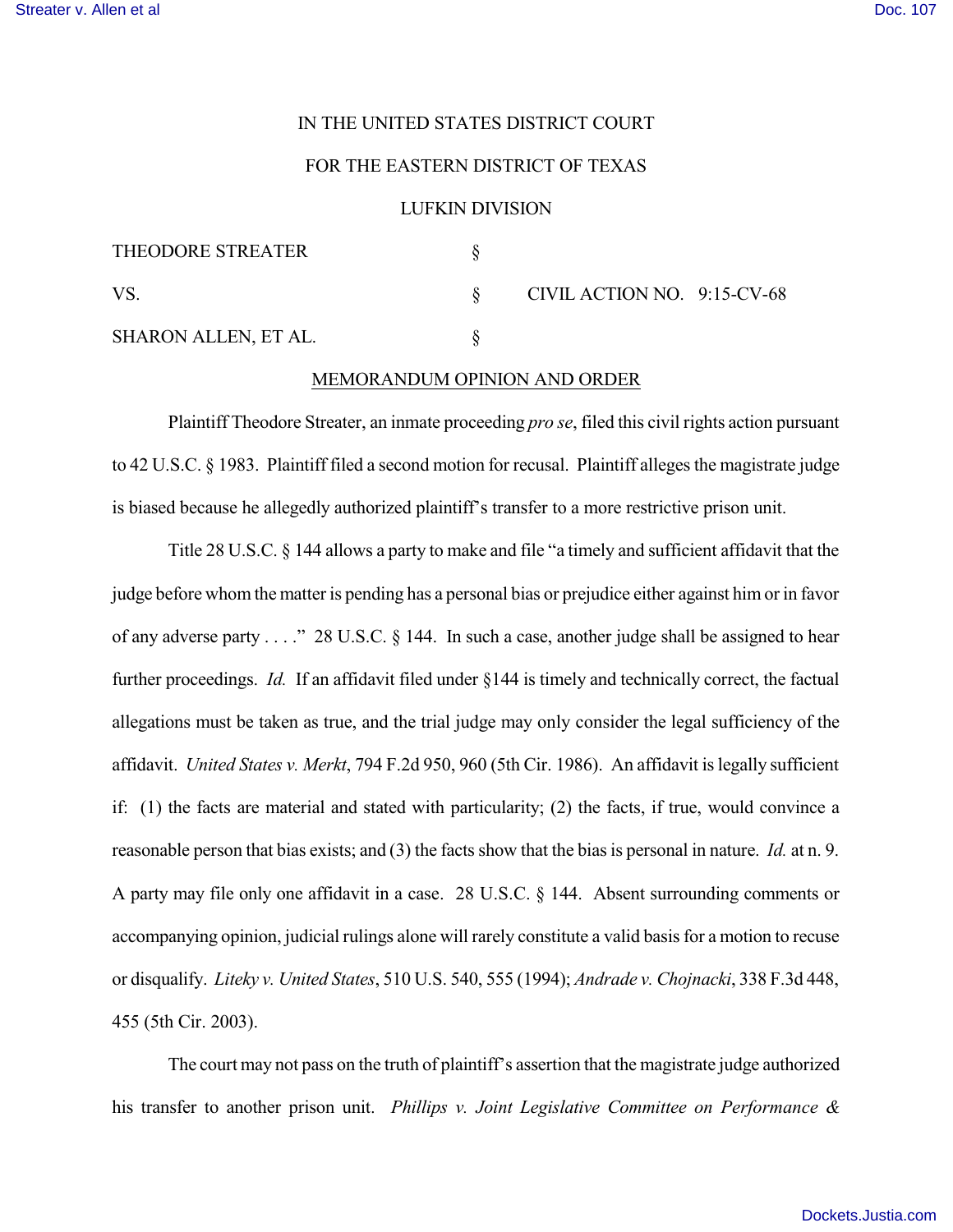## IN THE UNITED STATES DISTRICT COURT

## FOR THE EASTERN DISTRICT OF TEXAS

## LUFKIN DIVISION

| <b>THEODORE STREATER</b> |                             |  |
|--------------------------|-----------------------------|--|
| VS                       | CIVIL ACTION NO. 9:15-CV-68 |  |
| SHARON ALLEN, ET AL.     |                             |  |

## MEMORANDUM OPINION AND ORDER

Plaintiff Theodore Streater, an inmate proceeding *pro se*, filed this civil rights action pursuant to 42 U.S.C.  $\S$  1983. Plaintiff filed a second motion for recusal. Plaintiff alleges the magistrate judge is biased because he allegedly authorized plaintiff's transfer to a more restrictive prison unit.

Title 28 U.S.C. § 144 allows a party to make and file "a timely and sufficient affidavit that the judge before whom the matter is pending has a personal bias or prejudice either against him or in favor of any adverse party . . . ." 28 U.S.C. § 144. In such a case, another judge shall be assigned to hear further proceedings. *Id.* If an affidavit filed under §144 is timely and technically correct, the factual allegations must be taken as true, and the trial judge may only consider the legal sufficiency of the affidavit. *United States v. Merkt*, 794 F.2d 950, 960 (5th Cir. 1986). An affidavit islegally sufficient if: (1) the facts are material and stated with particularity; (2) the facts, if true, would convince a reasonable person that bias exists; and (3) the facts show that the bias is personal in nature. *Id.* at n. 9. A party may file only one affidavit in a case. 28 U.S.C. § 144. Absent surrounding comments or accompanying opinion, judicial rulings alone will rarely constitute a valid basisfor a motion to recuse or disqualify. *Liteky v. United States*, 510 U.S. 540, 555 (1994); *Andrade v. Chojnacki*, 338 F.3d 448, 455 (5th Cir. 2003).

The court may not pass on the truth of plaintiff's assertion that the magistrate judge authorized his transfer to another prison unit. *Phillips v. Joint Legislative Committee on Performance &*